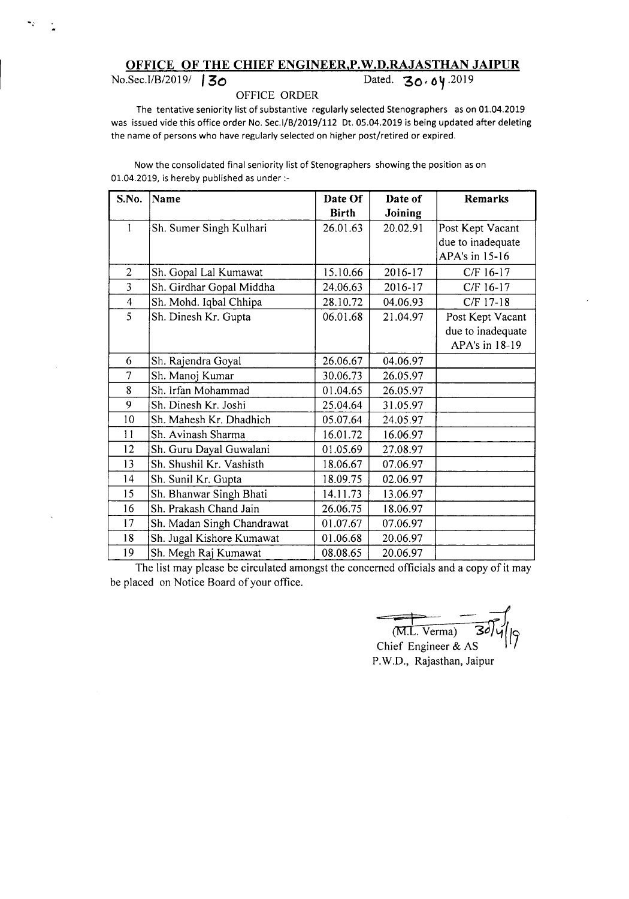## OFFICE OF THE CHIEF ENGINEER, P.W.D.RAJASTHAN JAIPUR<br>Dated. 30.04.2019

## Dated. **30.04** .2019

## OFFICE ORDER

The tentative seniority list of substantive regularly selected Stenographers as on 01.04.2019 was issued vide this office order No. Sec.I/B/2019/112 Dt. 05.04.2019 is being updated after deleting the name of persons who have regularly selected on higher post/retired or expired.

Now the consolidated final seniority list of Stenographers showing the position as on 01.04.2019, is hereby published as under :-

| S.No.          | Name                       | Date Of      | Date of  | <b>Remarks</b>    |
|----------------|----------------------------|--------------|----------|-------------------|
|                |                            | <b>Birth</b> | Joining  |                   |
| 1              | Sh. Sumer Singh Kulhari    | 26.01.63     | 20.02.91 | Post Kept Vacant  |
|                |                            |              |          | due to inadequate |
|                |                            |              |          | APA's in 15-16    |
| $\overline{2}$ | Sh. Gopal Lal Kumawat      | 15.10.66     | 2016-17  | C/F 16-17         |
| 3              | Sh. Girdhar Gopal Middha   | 24.06.63     | 2016-17  | C/F 16-17         |
| $\overline{4}$ | Sh. Mohd. Iqbal Chhipa     | 28.10.72     | 04.06.93 | C/F 17-18         |
| 5              | Sh. Dinesh Kr. Gupta       | 06.01.68     | 21.04.97 | Post Kept Vacant  |
|                |                            |              |          | due to inadequate |
|                |                            |              |          | APA's in 18-19    |
| 6              | Sh. Rajendra Goyal         | 26.06.67     | 04.06.97 |                   |
| 7              | Sh. Manoj Kumar            | 30.06.73     | 26.05.97 |                   |
| 8              | Sh. Irfan Mohammad         | 01.04.65     | 26.05.97 |                   |
| 9              | Sh. Dinesh Kr. Joshi       | 25.04.64     | 31.05.97 |                   |
| 10             | Sh. Mahesh Kr. Dhadhich    | 05.07.64     | 24.05.97 |                   |
| 11             | Sh. Avinash Sharma         | 16.01.72     | 16.06.97 |                   |
| 12             | Sh. Guru Dayal Guwalani    | 01.05.69     | 27.08.97 |                   |
| 13             | Sh. Shushil Kr. Vashisth   | 18.06.67     | 07.06.97 |                   |
| 14             | Sh. Sunil Kr. Gupta        | 18.09.75     | 02.06.97 |                   |
| 15             | Sh. Bhanwar Singh Bhati    | 14.11.73     | 13.06.97 |                   |
| 16             | Sh. Prakash Chand Jain     | 26.06.75     | 18.06.97 |                   |
| 17             | Sh. Madan Singh Chandrawat | 01.07.67     | 07.06.97 |                   |
| 18             | Sh. Jugal Kishore Kumawat  | 01.06.68     | 20.06.97 |                   |
| 19             | Sh. Megh Raj Kumawat       | 08.08.65     | 20.06.97 |                   |

The list may please be circulated amongst the concerned officials and a copy of it may be placed on Notice Board of your office.

 $p$  $(M.L. \, \text{Verma})$  30/4/9 (M.L. Verma) 30/4/19<br>Chief Engineer & AS

P.W.D., Rajasthan, Jaipur